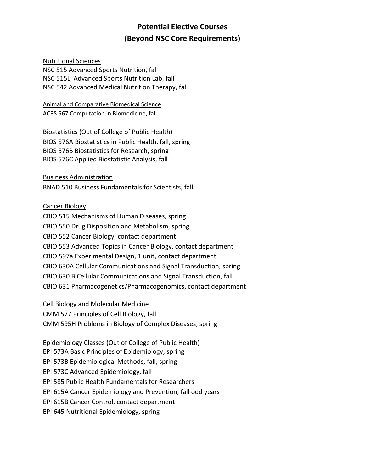# **Potential Elective Courses (Beyond NSC Core Requirements)**

#### Nutritional Sciences

NSC 515 Advanced Sports Nutrition, fall NSC 515L, Advanced Sports Nutrition Lab, fall NSC 542 Advanced Medical Nutrition Therapy, fall

Animal and Comparative Biomedical Science ACBS 567 Computation in Biomedicine, fall

Biostatistics (Out of College of Public Health) BIOS 576A Biostatistics in Public Health, fall, spring BIOS 576B Biostatistics for Research, spring BIOS 576C Applied Biostatistic Analysis, fall

Business Administration BNAD 510 Business Fundamentals for Scientists, fall

#### Cancer Biology

CBIO 515 Mechanisms of Human Diseases, spring CBIO 550 Drug Disposition and Metabolism, spring CBIO 552 Cancer Biology, contact department CBIO 553 Advanced Topics in Cancer Biology, contact department CBIO 597a Experimental Design, 1 unit, contact department CBIO 630A Cellular Communications and Signal Transduction, spring CBIO 630 B Cellular Communications and Signal Transduction, fall CBIO 631 Pharmacogenetics/Pharmacogenomics, contact department

Cell Biology and Molecular Medicine

CMM 577 Principles of Cell Biology, fall [CMM 595H Problems in Biology of Complex Diseases,](http://cmm.arizona.edu/CBA_556) spring

Epidemiology Classes (Out of College of Public Health)

EPI 573A Basic Principles of Epidemiology, spring EPI 573B Epidemiological Methods, fall, spring EPI 573C Advanced Epidemiology, fall

EPI 585 Public Health Fundamentals for Researchers

EPI 615A Cancer Epidemiology and Prevention, fall odd years

EPI 615B Cancer Control, contact department

EPI 645 Nutritional Epidemiology, spring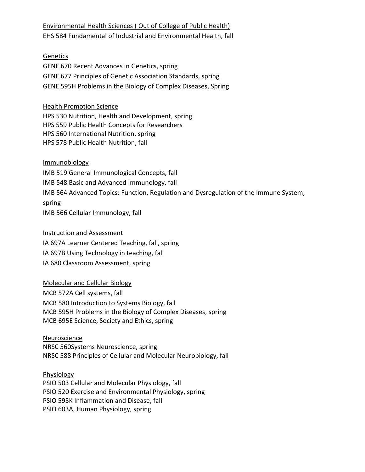# Environmental Health Sciences ( Out of College of Public Health) EHS 584 Fundamental of Industrial and Environmental Health, fall

#### **Genetics**

GENE 670 Recent Advances in Genetics, spring GENE 677 Principles of Genetic Association Standards, spring GENE 595H Problems in the Biology of Complex Diseases, Spring

#### Health Promotion Science

HPS 530 Nutrition, Health and Development, spring HPS 559 Public Health Concepts for Researchers HPS 560 International Nutrition, spring HPS 578 Public Health Nutrition, fall

# Immunobiology

IMB 519 General Immunological Concepts, fall IMB 548 Basic and Advanced Immunology, fall IMB 564 Advanced Topics: Function, Regulation and Dysregulation of the Immune System, spring IMB 566 Cellular Immunology, fall

#### Instruction and Assessment

IA 697A Learner Centered Teaching, fall, spring IA 697B Using Technology in teaching, fall IA 680 Classroom Assessment, spring

# Molecular and Cellular Biology

MCB 572A Cell systems, fall MCB 580 Introduction to Systems Biology, fall MCB 595H Problems in the Biology of Complex Diseases, spring MCB 695E Science, Society and Ethics, spring

# Neuroscience NRSC 560Systems Neuroscience, spring NRSC 588 Principles of Cellular and Molecular Neurobiology, fall

Physiology PSIO 503 Cellular and Molecular Physiology, fall PSIO 520 Exercise and Environmental Physiology, spring PSIO 595K Inflammation and Disease, fall PSIO 603A, Human Physiology, spring